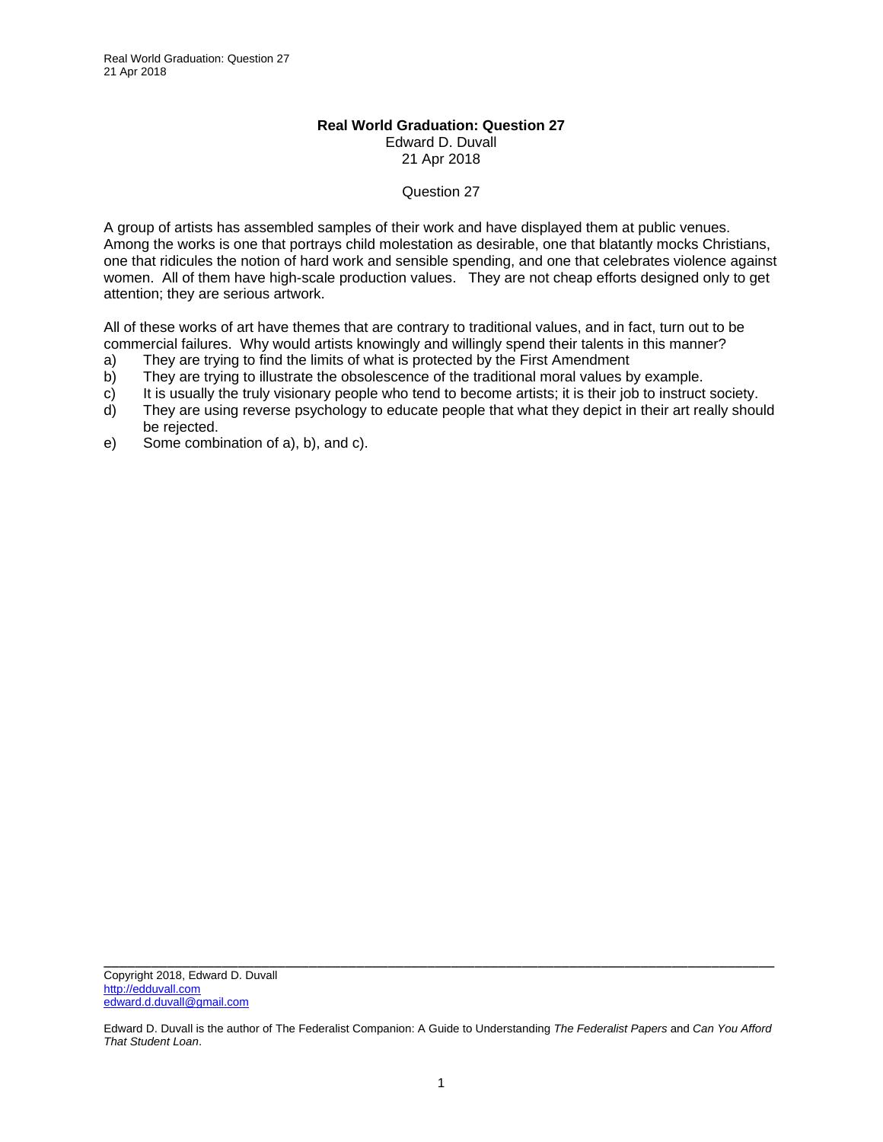## **Real World Graduation: Question 27**  Edward D. Duvall 21 Apr 2018

## Question 27

A group of artists has assembled samples of their work and have displayed them at public venues. Among the works is one that portrays child molestation as desirable, one that blatantly mocks Christians, one that ridicules the notion of hard work and sensible spending, and one that celebrates violence against women. All of them have high-scale production values. They are not cheap efforts designed only to get attention; they are serious artwork.

All of these works of art have themes that are contrary to traditional values, and in fact, turn out to be commercial failures. Why would artists knowingly and willingly spend their talents in this manner?

- a) They are trying to find the limits of what is protected by the First Amendment
- b) They are trying to illustrate the obsolescence of the traditional moral values by example.
- c) It is usually the truly visionary people who tend to become artists; it is their job to instruct society.
- d) They are using reverse psychology to educate people that what they depict in their art really should be rejected.
- e) Some combination of a), b), and c).

Edward D. Duvall is the author of The Federalist Companion: A Guide to Understanding *The Federalist Papers* and *Can You Afford That Student Loan*.